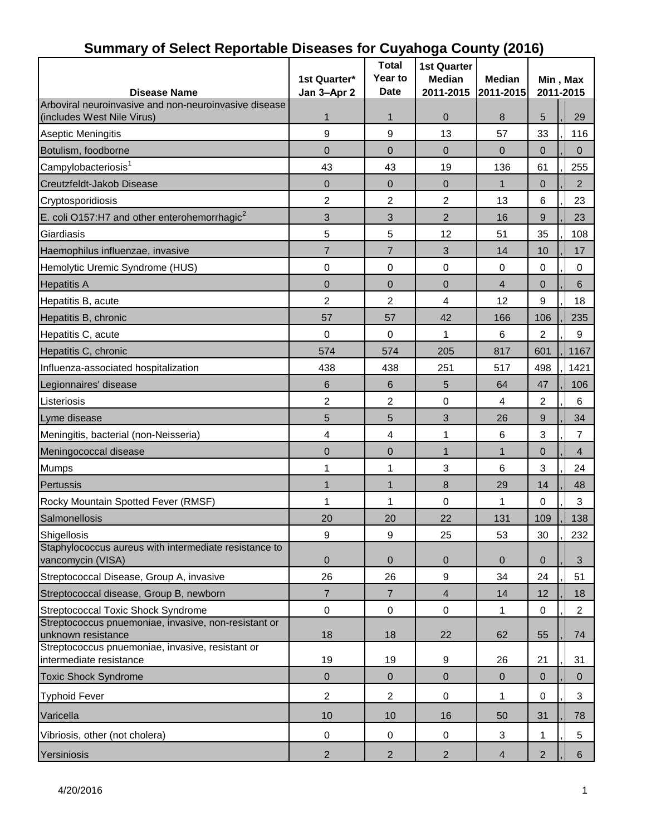| -- ---------- <b>--------</b><br><b>Disease Name</b>                       | 1st Quarter*<br>Jan 3-Apr 2 | <b>Total</b><br>Year to<br><b>Date</b> | <b>1st Quarter</b><br><b>Median</b><br>2011-2015 | יינד איז איז איז איז איז איז היידע<br><b>Median</b><br>2011-2015 |                | Min, Max<br>2011-2015 |  |  |
|----------------------------------------------------------------------------|-----------------------------|----------------------------------------|--------------------------------------------------|------------------------------------------------------------------|----------------|-----------------------|--|--|
| Arboviral neuroinvasive and non-neuroinvasive disease                      |                             |                                        |                                                  |                                                                  |                |                       |  |  |
| (includes West Nile Virus)                                                 | 1                           | $\mathbf{1}$                           | $\mathbf 0$                                      | 8                                                                | 5              | 29                    |  |  |
| Aseptic Meningitis                                                         | 9                           | 9                                      | 13                                               | 57                                                               | 33             | 116                   |  |  |
| Botulism, foodborne                                                        | $\mathbf{0}$                | 0                                      | $\Omega$                                         | $\overline{0}$                                                   | 0              | $\Omega$              |  |  |
| Campylobacteriosis <sup>1</sup>                                            | 43                          | 43                                     | 19                                               | 136                                                              | 61             | 255                   |  |  |
| Creutzfeldt-Jakob Disease                                                  | $\overline{0}$              | $\mathbf 0$                            | $\overline{0}$                                   | $\mathbf{1}$                                                     | $\mathbf{0}$   | $\overline{2}$        |  |  |
| Cryptosporidiosis                                                          | $\overline{c}$              | $\overline{c}$                         | $\overline{2}$                                   | 13                                                               | 6              | 23                    |  |  |
| E. coli O157:H7 and other enterohemorrhagic $^2$                           | 3                           | 3                                      | $\overline{2}$                                   | 16                                                               | 9              | 23                    |  |  |
| Giardiasis                                                                 | 5                           | 5                                      | 12                                               | 51                                                               | 35             | 108                   |  |  |
| Haemophilus influenzae, invasive                                           | $\overline{7}$              | $\overline{7}$                         | $\mathfrak{S}$                                   | 14                                                               | 10             | 17                    |  |  |
| Hemolytic Uremic Syndrome (HUS)                                            | 0                           | $\boldsymbol{0}$                       | $\mathbf 0$                                      | $\boldsymbol{0}$                                                 | $\mathbf 0$    | 0                     |  |  |
| <b>Hepatitis A</b>                                                         | $\overline{0}$              | $\mathbf 0$                            | $\overline{0}$                                   | $\overline{4}$                                                   | $\mathbf{0}$   | $\,6$                 |  |  |
| Hepatitis B, acute                                                         | 2                           | $\overline{2}$                         | 4                                                | 12                                                               | 9              | 18                    |  |  |
| Hepatitis B, chronic                                                       | 57                          | 57                                     | 42                                               | 166                                                              | 106            | 235                   |  |  |
| Hepatitis C, acute                                                         | 0                           | $\boldsymbol{0}$                       | 1                                                | 6                                                                | 2              | 9                     |  |  |
| Hepatitis C, chronic                                                       | 574                         | 574                                    | 205                                              | 817                                                              | 601            | 1167                  |  |  |
| Influenza-associated hospitalization                                       | 438                         | 438                                    | 251                                              | 517                                                              | 498            | 1421                  |  |  |
| Legionnaires' disease                                                      | 6                           | $\,6$                                  | 5                                                | 64                                                               | 47             | 106                   |  |  |
|                                                                            | 2                           | 2                                      | 0                                                | $\overline{4}$                                                   | 2              | 6                     |  |  |
| Listeriosis                                                                |                             |                                        |                                                  |                                                                  |                |                       |  |  |
| Lyme disease                                                               | 5                           | 5                                      | 3                                                | 26                                                               | 9              | 34                    |  |  |
| Meningitis, bacterial (non-Neisseria)                                      | $\overline{\mathbf{4}}$     | 4                                      | 1                                                | $\,6$                                                            | 3              | $\overline{7}$        |  |  |
| Meningococcal disease                                                      | $\mathbf 0$                 | $\mathbf 0$                            | $\mathbf{1}$                                     | $\mathbf{1}$                                                     | $\overline{0}$ | $\overline{4}$        |  |  |
| <b>Mumps</b>                                                               | 1                           | 1                                      | 3                                                | 6                                                                | 3              | 24                    |  |  |
| Pertussis                                                                  | $\mathbf{1}$                | $\mathbf{1}$                           | 8                                                | 29                                                               | 14             | 48                    |  |  |
| Rocky Mountain Spotted Fever (RMSF)                                        | 1                           | $\mathbf{1}$                           | $\mathbf 0$                                      | 1                                                                | $\mathbf 0$    | 3                     |  |  |
| Salmonellosis                                                              | 20                          | 20                                     | 22                                               | 131                                                              | 109            | 138                   |  |  |
| Shigellosis                                                                | 9                           | 9                                      | 25                                               | 53                                                               | 30             | 232                   |  |  |
| Staphylococcus aureus with intermediate resistance to<br>vancomycin (VISA) | $\pmb{0}$                   | $\boldsymbol{0}$                       | $\pmb{0}$                                        | $\mathbf 0$                                                      | $\mathbf{0}$   | 3                     |  |  |
| Streptococcal Disease, Group A, invasive                                   | 26                          | 26                                     | $\boldsymbol{9}$                                 | 34                                                               | 24             | 51                    |  |  |
| Streptococcal disease, Group B, newborn                                    | 7                           | $\overline{7}$                         | $\overline{4}$                                   | 14                                                               | 12             | 18                    |  |  |
| Streptococcal Toxic Shock Syndrome                                         | $\pmb{0}$                   | $\boldsymbol{0}$                       | $\mathbf 0$                                      | 1                                                                | $\mathbf 0$    | $\overline{2}$        |  |  |
| Streptococcus pnuemoniae, invasive, non-resistant or                       |                             |                                        |                                                  |                                                                  |                |                       |  |  |
| unknown resistance<br>Streptococcus pnuemoniae, invasive, resistant or     | 18                          | 18                                     | 22                                               | 62                                                               | 55             | 74                    |  |  |
| intermediate resistance                                                    | 19                          | 19                                     | 9                                                | 26                                                               | 21             | 31                    |  |  |
| <b>Toxic Shock Syndrome</b>                                                | $\mathbf 0$                 | $\mathbf 0$                            | $\pmb{0}$                                        | $\mathbf 0$                                                      | $\mathbf{0}$   | $\overline{0}$        |  |  |
| <b>Typhoid Fever</b>                                                       | $\overline{c}$              | $\overline{2}$                         | $\pmb{0}$                                        | 1                                                                | 0              | 3                     |  |  |
| Varicella                                                                  | 10                          | 10                                     | 16                                               | 50                                                               | 31             | 78                    |  |  |
| Vibriosis, other (not cholera)                                             | $\,0\,$                     | 0                                      | $\pmb{0}$                                        | 3                                                                | 1              | 5                     |  |  |
| Yersiniosis                                                                | $\overline{2}$              | $\sqrt{2}$                             | $\overline{2}$                                   | $\overline{4}$                                                   | $\overline{2}$ | 6                     |  |  |

### **Summary of Select Reportable Diseases for Cuyahoga County (2016)**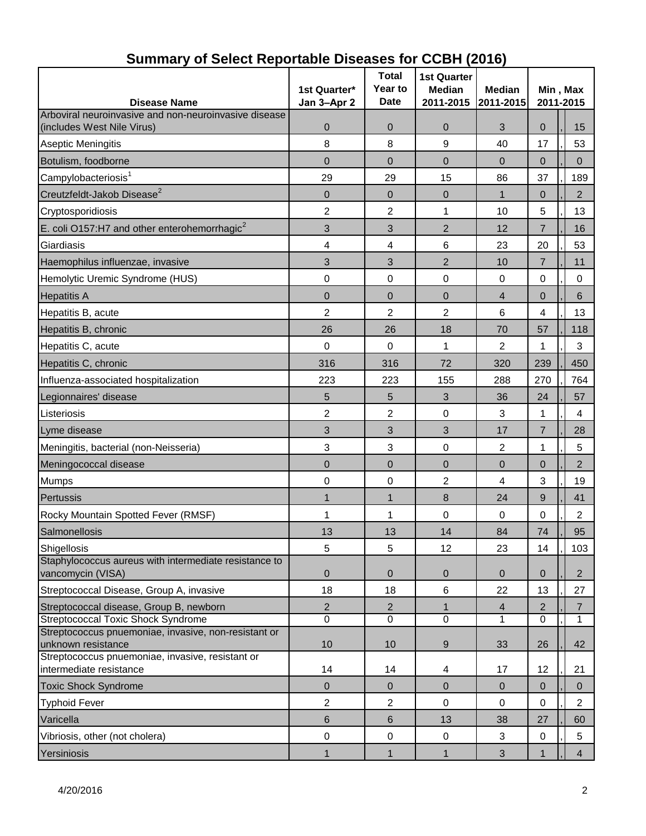| <b>Disease Name</b>                                                         | 1st Quarter*<br>Jan 3-Apr 2 | <b>Total</b><br>Year to<br><b>Date</b> | <b>1st Quarter</b><br><b>Median</b><br>2011-2015 | <b>Median</b><br>2011-2015 | Min, Max<br>2011-2015 |                |  |
|-----------------------------------------------------------------------------|-----------------------------|----------------------------------------|--------------------------------------------------|----------------------------|-----------------------|----------------|--|
| Arboviral neuroinvasive and non-neuroinvasive disease                       |                             |                                        |                                                  |                            |                       |                |  |
| (includes West Nile Virus)                                                  | 0                           | 0                                      | $\mathbf 0$                                      | 3                          | 0                     | 15             |  |
| <b>Aseptic Meningitis</b>                                                   | 8                           | 8                                      | 9                                                | 40                         | 17                    | 53             |  |
| Botulism, foodborne                                                         | $\overline{0}$              | $\overline{0}$                         | $\Omega$                                         | $\mathbf{0}$               | $\overline{0}$        | $\Omega$       |  |
| Campylobacteriosis <sup>1</sup>                                             | 29                          | 29                                     | 15                                               | 86                         | 37                    | 189            |  |
| Creutzfeldt-Jakob Disease <sup>2</sup>                                      | $\overline{0}$              | $\overline{0}$                         | $\overline{0}$                                   | $\mathbf 1$                | $\mathbf 0$           | $\overline{2}$ |  |
| Cryptosporidiosis                                                           | 2                           | 2                                      | 1                                                | 10                         | 5                     | 13             |  |
| E. coli O157:H7 and other enterohemorrhagic <sup>2</sup>                    | 3                           | 3                                      | $\overline{2}$                                   | 12                         | $\overline{7}$        | 16             |  |
| Giardiasis                                                                  | 4                           | 4                                      | 6                                                | 23                         | 20                    | 53             |  |
| Haemophilus influenzae, invasive                                            | 3                           | 3                                      | $\overline{2}$                                   | 10                         | $\overline{7}$        | 11             |  |
| Hemolytic Uremic Syndrome (HUS)                                             | $\pmb{0}$                   | $\mathbf 0$                            | 0                                                | $\mathbf 0$                | 0                     | 0              |  |
| <b>Hepatitis A</b>                                                          | 0                           | 0                                      | $\overline{0}$                                   | 4                          | $\mathbf 0$           | 6              |  |
| Hepatitis B, acute                                                          | $\overline{2}$              | $\overline{2}$                         | $\overline{2}$                                   | 6                          | 4                     | 13             |  |
| Hepatitis B, chronic                                                        | 26                          | 26                                     | 18                                               | 70                         | 57                    | 118            |  |
| Hepatitis C, acute                                                          | 0                           | $\boldsymbol{0}$                       | 1                                                | 2                          | 1                     | 3              |  |
| Hepatitis C, chronic                                                        | 316                         | 316                                    | 72                                               | 320                        | 239                   | 450            |  |
| Influenza-associated hospitalization                                        | 223                         | 223                                    | 155                                              | 288                        | 270                   | 764            |  |
| Legionnaires' disease                                                       | 5                           | 5                                      | $\mathfrak{S}$                                   | 36                         | 24                    | 57             |  |
| Listeriosis                                                                 | 2                           | 2                                      | 0                                                | 3                          | 1                     | 4              |  |
| Lyme disease                                                                | 3                           | 3                                      | 3                                                | 17                         | $\overline{7}$        | 28             |  |
| Meningitis, bacterial (non-Neisseria)                                       | 3                           | 3                                      | 0                                                | 2                          | 1                     | 5              |  |
| Meningococcal disease                                                       | $\overline{0}$              | $\overline{0}$                         | $\mathbf 0$                                      | $\overline{0}$             | $\overline{0}$        | $\overline{2}$ |  |
| <b>Mumps</b>                                                                | 0                           | 0                                      | $\overline{2}$                                   | 4                          | 3                     | 19             |  |
| Pertussis                                                                   | 1                           | 1                                      | 8                                                | 24                         | 9                     | 41             |  |
| Rocky Mountain Spotted Fever (RMSF)                                         | 1                           | 1                                      | 0                                                | 0                          | 0                     | $\overline{2}$ |  |
| Salmonellosis                                                               | 13                          | 13                                     | 14                                               | 84                         | 74                    | 95             |  |
| Shigellosis                                                                 | 5                           | 5                                      | 12                                               | 23                         | 14                    | 103            |  |
| Staphylococcus aureus with intermediate resistance to<br>vancomycin (VISA)  | $\mathbf 0$                 | $\mathbf 0$                            | $\mathbf 0$                                      | $\mathbf 0$                | $\overline{0}$        | $\overline{2}$ |  |
| Streptococcal Disease, Group A, invasive                                    | 18                          | 18                                     | $\,6$                                            | 22                         | 13                    | 27             |  |
| Streptococcal disease, Group B, newborn                                     | $\overline{2}$              | $\overline{2}$                         | $\mathbf{1}$                                     | $\overline{4}$             | 2                     | $\overline{7}$ |  |
| <b>Streptococcal Toxic Shock Syndrome</b>                                   | $\overline{0}$              | $\mathbf 0$                            | $\mathbf 0$                                      | 1                          | 0                     | $\mathbf{1}$   |  |
| Streptococcus pnuemoniae, invasive, non-resistant or<br>unknown resistance  | 10                          | 10                                     | 9                                                | 33                         | 26                    | 42             |  |
| Streptococcus pnuemoniae, invasive, resistant or<br>intermediate resistance | 14                          | 14                                     | 4                                                | 17                         | 12                    | 21             |  |
| <b>Toxic Shock Syndrome</b>                                                 | $\mathbf 0$                 | $\mathbf{0}$                           | $\mathbf 0$                                      | $\mathbf{0}$               | $\mathbf{0}$          | $\mathbf{0}$   |  |
| <b>Typhoid Fever</b>                                                        | 2                           | $\overline{c}$                         | $\pmb{0}$                                        | 0                          | 0                     | $\overline{2}$ |  |
| Varicella                                                                   | 6                           | 6                                      | 13                                               | 38                         | 27                    | 60             |  |
| Vibriosis, other (not cholera)                                              | $\pmb{0}$                   | $\boldsymbol{0}$                       | 0                                                | $\mathbf{3}$               | $\mathbf 0$           | 5              |  |
| Yersiniosis                                                                 | 1                           | 1                                      | $\mathbf{1}$                                     | $\mathfrak{S}$             | 1                     | $\overline{4}$ |  |

### **Summary of Select Reportable Diseases for CCBH (2016)**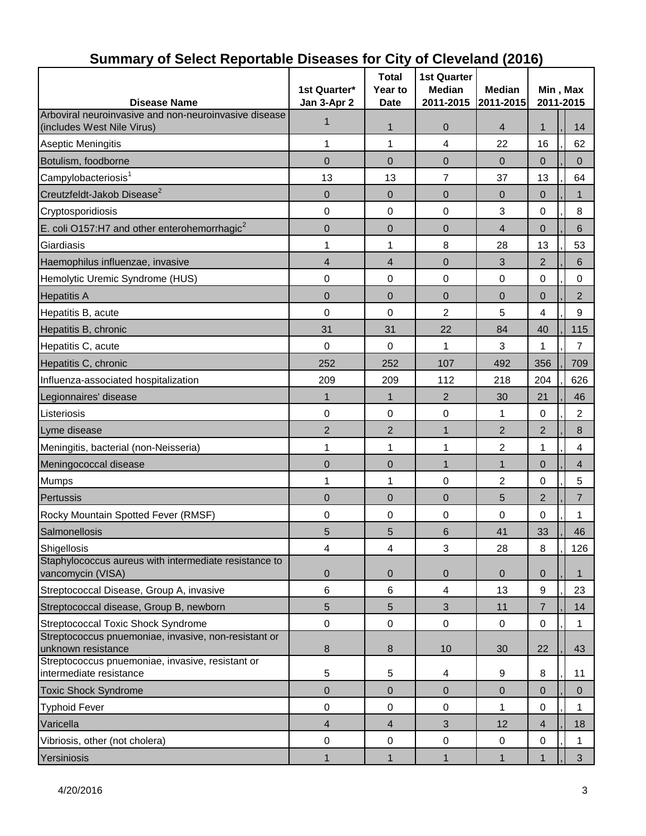| <b>Disease Name</b>                                                                 | 1st Quarter*<br>Jan 3-Apr 2 | <b>Total</b><br>Year to<br><b>Date</b> | <b>1st Quarter</b><br><b>Median</b><br>2011-2015 | <b>Median</b><br>2011-2015 |                | Min, Max<br>2011-2015 |                  |
|-------------------------------------------------------------------------------------|-----------------------------|----------------------------------------|--------------------------------------------------|----------------------------|----------------|-----------------------|------------------|
| Arboviral neuroinvasive and non-neuroinvasive disease<br>(includes West Nile Virus) | 1                           | $\mathbf 1$                            | 0                                                | 4                          | 1              |                       | 14               |
| Aseptic Meningitis                                                                  | 1                           | 1                                      | 4                                                | 22                         | 16             |                       | 62               |
| Botulism, foodborne                                                                 | $\overline{0}$              | $\overline{0}$                         | $\overline{0}$                                   | $\overline{0}$             | $\mathbf 0$    |                       | $\Omega$         |
| Campylobacteriosis <sup>1</sup>                                                     | 13                          | 13                                     | $\overline{7}$                                   | 37                         | 13             |                       | 64               |
| Creutzfeldt-Jakob Disease <sup>2</sup>                                              | $\overline{0}$              | $\overline{0}$                         | $\overline{0}$                                   | 0                          | $\mathbf 0$    |                       | 1                |
| Cryptosporidiosis                                                                   | 0                           | 0                                      | 0                                                | 3                          | 0              |                       | 8                |
| E. coli O157:H7 and other enterohemorrhagic <sup>2</sup>                            | 0                           | $\mathbf 0$                            | $\mathbf 0$                                      | $\overline{4}$             | $\overline{0}$ |                       | 6                |
| Giardiasis                                                                          | 1                           | 1                                      | 8                                                | 28                         | 13             |                       | 53               |
| Haemophilus influenzae, invasive                                                    | 4                           | $\overline{4}$                         | $\overline{0}$                                   | 3                          | $\overline{2}$ |                       | 6                |
| Hemolytic Uremic Syndrome (HUS)                                                     | 0                           | 0                                      | $\pmb{0}$                                        | 0                          | 0              |                       | $\mathbf 0$      |
| <b>Hepatitis A</b>                                                                  | 0                           | $\overline{0}$                         | $\overline{0}$                                   | $\overline{0}$             | $\Omega$       |                       | $\overline{2}$   |
| Hepatitis B, acute                                                                  | 0                           | $\mathbf 0$                            | 2                                                | 5                          | 4              |                       | 9                |
| Hepatitis B, chronic                                                                | 31                          | 31                                     | 22                                               | 84                         | 40             |                       | 115              |
| Hepatitis C, acute                                                                  | 0                           | 0                                      | 1                                                | 3                          | 1              |                       | $\overline{7}$   |
| Hepatitis C, chronic                                                                | 252                         | 252                                    | 107                                              | 492                        | 356            |                       | 709              |
| Influenza-associated hospitalization                                                | 209                         | 209                                    | 112                                              | 218                        | 204            |                       | 626              |
| Legionnaires' disease                                                               | 1                           | $\mathbf 1$                            | $\overline{2}$                                   | 30                         | 21             |                       | 46               |
| Listeriosis                                                                         | 0                           | 0                                      | $\mathbf 0$                                      | 1                          | 0              |                       | 2                |
| Lyme disease                                                                        | $\overline{2}$              | $\overline{2}$                         | 1                                                | 2                          | 2              |                       | $\boldsymbol{8}$ |
| Meningitis, bacterial (non-Neisseria)                                               | 1                           | 1                                      | 1                                                | $\overline{c}$             | 1              |                       | 4                |
| Meningococcal disease                                                               | 0                           | $\mathbf 0$                            | $\mathbf{1}$                                     | $\mathbf{1}$               | $\mathbf 0$    |                       | 4                |
| Mumps                                                                               | 1                           | 1                                      | 0                                                | $\overline{c}$             | 0              |                       | 5                |
| <b>Pertussis</b>                                                                    | $\overline{0}$              | $\overline{0}$                         | $\overline{0}$                                   | 5                          | 2              |                       | 7                |
| Rocky Mountain Spotted Fever (RMSF)                                                 | 0                           | 0                                      | 0                                                | 0                          | 0              |                       | 1                |
| Salmonellosis                                                                       | 5                           | 5                                      | 6                                                | 41                         | 33             |                       | 46               |
| Shigellosis                                                                         | 4                           | 4                                      | 3                                                | 28                         | 8              |                       | 126              |
| Staphylococcus aureus with intermediate resistance to<br>vancomycin (VISA)          | 0                           | 0                                      | $\mathbf 0$                                      | 0                          | 0              |                       | $\mathbf{1}$     |
| Streptococcal Disease, Group A, invasive                                            | 6                           | 6                                      | $\overline{4}$                                   | 13                         | 9              |                       | 23               |
| Streptococcal disease, Group B, newborn                                             | 5                           | $\sqrt{5}$                             | $\mathfrak{S}$                                   | 11                         | $\overline{7}$ |                       | 14               |
| Streptococcal Toxic Shock Syndrome                                                  | 0                           | $\mathbf 0$                            | $\mathbf 0$                                      | $\mathbf 0$                | 0              |                       | $\mathbf 1$      |
| Streptococcus pnuemoniae, invasive, non-resistant or<br>unknown resistance          | 8                           | 8                                      | 10                                               | 30                         | 22             |                       | 43               |
| Streptococcus pnuemoniae, invasive, resistant or<br>intermediate resistance         | 5                           | 5                                      | 4                                                | 9                          | 8              |                       | 11               |
| <b>Toxic Shock Syndrome</b>                                                         | 0                           | $\overline{0}$                         | $\pmb{0}$                                        | $\overline{0}$             | $\mathbf{0}$   |                       | $\mathbf 0$      |
| <b>Typhoid Fever</b>                                                                | 0                           | 0                                      | 0                                                | 1                          | 0              |                       | 1                |
| Varicella                                                                           | $\overline{4}$              | $\overline{4}$                         | 3                                                | 12                         | 4              |                       | 18               |
| Vibriosis, other (not cholera)                                                      | 0                           | $\pmb{0}$                              | $\pmb{0}$                                        | $\boldsymbol{0}$           | 0              |                       | $\mathbf{1}$     |
| Yersiniosis                                                                         | $\mathbf{1}$                | $\mathbf{1}$                           | $\mathbf{1}$                                     | 1                          | 1              |                       | 3 <sup>1</sup>   |

# **Summary of Select Reportable Diseases for City of Cleveland (2016)**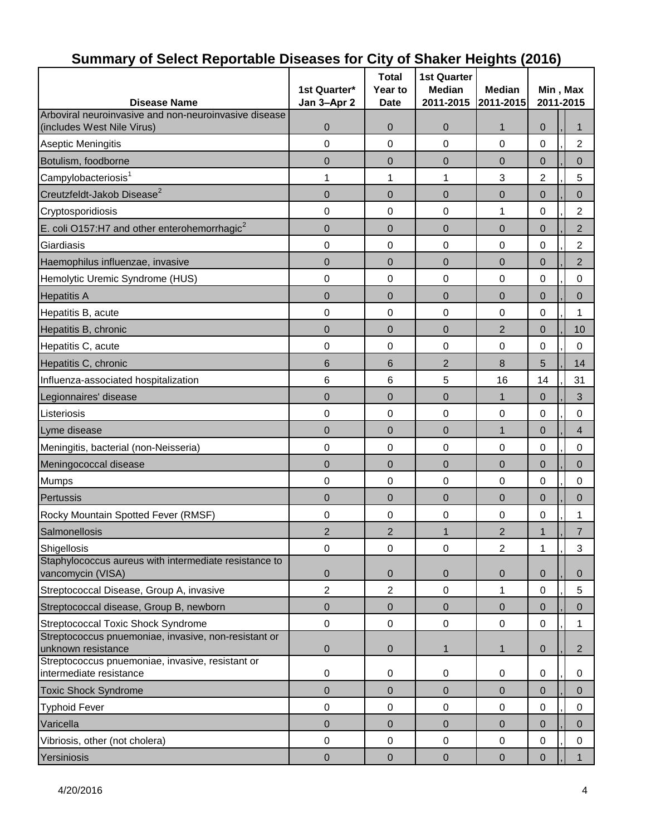| <b>Disease Name</b>                                                         | 1st Quarter*   | <b>Total</b><br>Year to<br><b>Date</b> | <b>1st Quarter</b><br><b>Median</b><br>2011-2015 | <b>Median</b><br>2011-2015 | Min, Max<br>2011-2015 |  |                |
|-----------------------------------------------------------------------------|----------------|----------------------------------------|--------------------------------------------------|----------------------------|-----------------------|--|----------------|
| Arboviral neuroinvasive and non-neuroinvasive disease                       | Jan 3-Apr 2    |                                        |                                                  |                            |                       |  |                |
| (includes West Nile Virus)                                                  | 0              | $\overline{0}$                         | 0                                                | $\mathbf 1$                | $\overline{0}$        |  | 1              |
| <b>Aseptic Meningitis</b>                                                   | 0              | 0                                      | 0                                                | 0                          | 0                     |  | $\overline{c}$ |
| Botulism, foodborne                                                         | $\overline{0}$ | 0                                      | 0                                                | $\overline{0}$             | 0                     |  | $\overline{0}$ |
| Campylobacteriosis <sup>1</sup>                                             | 1              | 1                                      | 1                                                | 3                          | $\overline{2}$        |  | 5              |
| Creutzfeldt-Jakob Disease <sup>2</sup>                                      | $\mathbf 0$    | $\mathbf 0$                            | $\mathbf 0$                                      | $\mathbf 0$                | $\overline{0}$        |  | $\overline{0}$ |
| Cryptosporidiosis                                                           | 0              | 0                                      | 0                                                | 1                          | 0                     |  | $\overline{c}$ |
| E. coli O157:H7 and other enterohemorrhagic $2$                             | $\mathbf 0$    | $\mathbf 0$                            | $\mathbf 0$                                      | $\mathbf 0$                | $\mathbf 0$           |  | $\overline{c}$ |
| Giardiasis                                                                  | 0              | 0                                      | $\pmb{0}$                                        | 0                          | 0                     |  | $\overline{c}$ |
| Haemophilus influenzae, invasive                                            | 0              | 0                                      | $\overline{0}$                                   | $\overline{0}$             | 0                     |  | $\overline{2}$ |
| Hemolytic Uremic Syndrome (HUS)                                             | 0              | 0                                      | 0                                                | 0                          | 0                     |  | 0              |
| <b>Hepatitis A</b>                                                          | $\overline{0}$ | $\overline{0}$                         | $\overline{0}$                                   | $\mathbf 0$                | $\overline{0}$        |  | 0              |
| Hepatitis B, acute                                                          | 0              | 0                                      | 0                                                | 0                          | 0                     |  | 1              |
| Hepatitis B, chronic                                                        | $\mathbf 0$    | $\mathbf 0$                            | $\mathbf 0$                                      | $\overline{2}$             | $\mathbf 0$           |  | 10             |
| Hepatitis C, acute                                                          | 0              | 0                                      | 0                                                | 0                          | 0                     |  | $\mathbf 0$    |
| Hepatitis C, chronic                                                        | 6              | 6                                      | $\overline{2}$                                   | 8                          | 5                     |  | 14             |
| Influenza-associated hospitalization                                        | 6              | 6                                      | 5                                                | 16                         | 14                    |  | 31             |
| Legionnaires' disease                                                       | $\overline{0}$ | $\mathbf 0$                            | $\overline{0}$                                   | $\mathbf 1$                | $\mathbf 0$           |  | 3              |
| Listeriosis                                                                 | 0              | 0                                      | 0                                                | 0                          | 0                     |  | $\mathbf 0$    |
| Lyme disease                                                                | $\mathbf 0$    | $\mathbf 0$                            | $\mathbf 0$                                      | $\mathbf{1}$               | $\mathbf 0$           |  | $\overline{4}$ |
| Meningitis, bacterial (non-Neisseria)                                       | 0              | 0                                      | 0                                                | 0                          | 0                     |  | 0              |
| Meningococcal disease                                                       | 0              | 0                                      | $\overline{0}$                                   | $\overline{0}$             | 0                     |  | $\overline{0}$ |
| <b>Mumps</b>                                                                | 0              | 0                                      | 0                                                | 0                          | 0                     |  | 0              |
| Pertussis                                                                   | $\overline{0}$ | 0                                      | $\overline{0}$                                   | $\mathbf 0$                | $\overline{0}$        |  | $\overline{0}$ |
| Rocky Mountain Spotted Fever (RMSF)                                         | 0              | 0                                      | 0                                                | 0                          | 0                     |  | 1              |
| Salmonellosis                                                               | $\overline{2}$ | $\overline{2}$                         | $\mathbf{1}$                                     | $\overline{2}$             | $\mathbf{1}$          |  | $\overline{7}$ |
| Shigellosis                                                                 | 0              | $\boldsymbol{0}$                       | $\pmb{0}$                                        | $\overline{2}$             | 1                     |  | 3              |
| Staphylococcus aureus with intermediate resistance to<br>vancomycin (VISA)  | 0              | 0                                      | $\mathbf 0$                                      | $\mathbf 0$                | $\mathbf 0$           |  | $\mathbf{0}$   |
| Streptococcal Disease, Group A, invasive                                    | $\overline{2}$ | $\overline{2}$                         | $\pmb{0}$                                        | $\mathbf 1$                | $\mathsf 0$           |  | 5              |
| Streptococcal disease, Group B, newborn                                     | $\mathsf 0$    | $\pmb{0}$                              | $\pmb{0}$                                        | $\mathbf{0}$               | $\pmb{0}$             |  | $\pmb{0}$      |
| Streptococcal Toxic Shock Syndrome                                          | $\pmb{0}$      | $\boldsymbol{0}$                       | $\pmb{0}$                                        | 0                          | 0                     |  | 1              |
| Streptococcus pnuemoniae, invasive, non-resistant or<br>unknown resistance  | 0              | 0                                      | $\mathbf{1}$                                     | 1                          | $\pmb{0}$             |  | $\overline{2}$ |
| Streptococcus pnuemoniae, invasive, resistant or<br>intermediate resistance | $\pmb{0}$      | 0                                      | 0                                                | 0                          | 0                     |  | 0              |
| <b>Toxic Shock Syndrome</b>                                                 | $\mathbf 0$    | $\mathbf 0$                            | $\overline{0}$                                   | $\mathbf 0$                | $\pmb{0}$             |  | $\pmb{0}$      |
| <b>Typhoid Fever</b>                                                        | 0              | 0                                      | $\mathbf 0$                                      | 0                          | 0                     |  | 0              |
| Varicella                                                                   | $\overline{0}$ | 0                                      | $\overline{0}$                                   | $\overline{0}$             | $\pmb{0}$             |  | $\overline{0}$ |
| Vibriosis, other (not cholera)                                              | $\pmb{0}$      | $\boldsymbol{0}$                       | $\pmb{0}$                                        | $\pmb{0}$                  | $\mathsf 0$           |  | $\pmb{0}$      |
| Yersiniosis                                                                 | $\pmb{0}$      | $\boldsymbol{0}$                       | $\pmb{0}$                                        | $\pmb{0}$                  | $\pmb{0}$             |  | $\mathbf{1}$   |

# **Summary of Select Reportable Diseases for City of Shaker Heights (2016)**